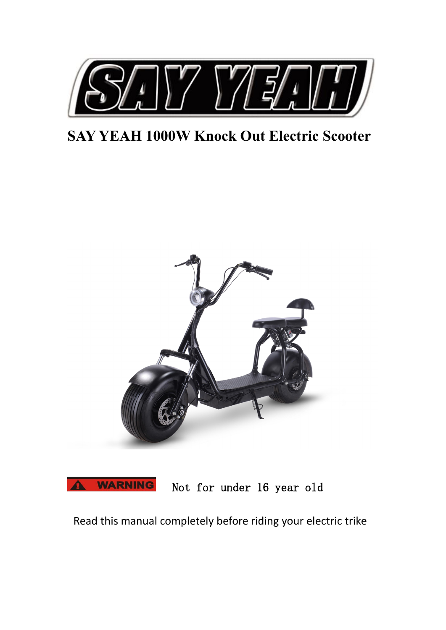

# **SAY YEAH 1000W Knock Out Electric Scooter**





Not for under 16 year old

Read this manual completely before riding your electric trike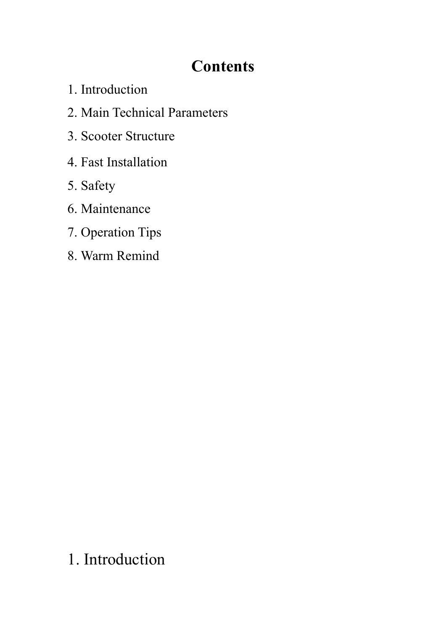# **Contents**

- 1. Introduction
- 2. Main Technical Parameters
- 3. Scooter Structure
- 4. Fast Installation
- 5. Safety
- 6. Maintenance
- 7. Operation Tips
- 8. Warm Remind

# 1. Introduction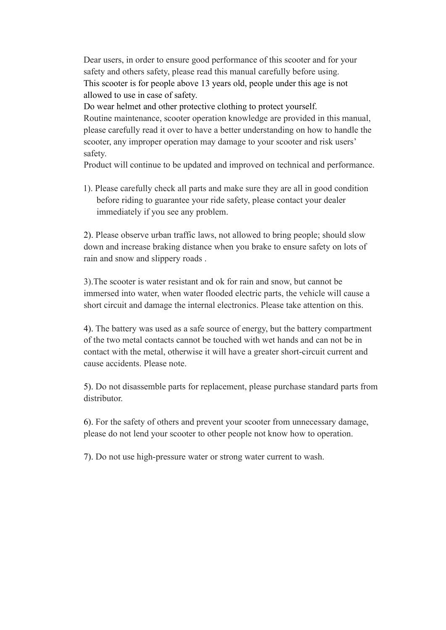Dear users, in order to ensure good performance of this scooter and for your safety and others safety, please read this manual carefully before using. This scooter is for people above 13 years old, people under this age is not allowed to use in case of safety.

Do wear helmet and other protective clothing to protect yourself. Routine maintenance, scooter operation knowledge are provided in this manual, please carefully read it over to have a better understanding on how to handle the scooter, any improper operation may damage to your scooter and risk users' safety.

Product will continue to be updated and improved on technical and performance.

1). Please carefully check all parts and make sure they are all in good condition before riding to guarantee your ride safety, please contact your dealer immediately if you see any problem.

2). Please observe urban traffic laws, not allowed to bring people; should slow down and increase braking distance when you brake to ensure safety on lots of rain and snow and slippery roads .

3).The scooter is water resistant and ok for rain and snow, but cannot be immersed into water, when water flooded electric parts, the vehicle will cause a short circuit and damage the internal electronics. Please take attention on this.

4). The battery was used as a safe source of energy, but the battery compartment of the two metal contacts cannot be touched with wet hands and can not be in contact with the metal, otherwise it will have a greater short-circuit current and cause accidents. Please note.

5). Do not disassemble parts for replacement, please purchase standard parts from distributor.

6). For the safety of others and prevent your scooter from unnecessary damage, please do not lend your scooter to other people not know how to operation.

7). Do not use high-pressure water or strong water current to wash.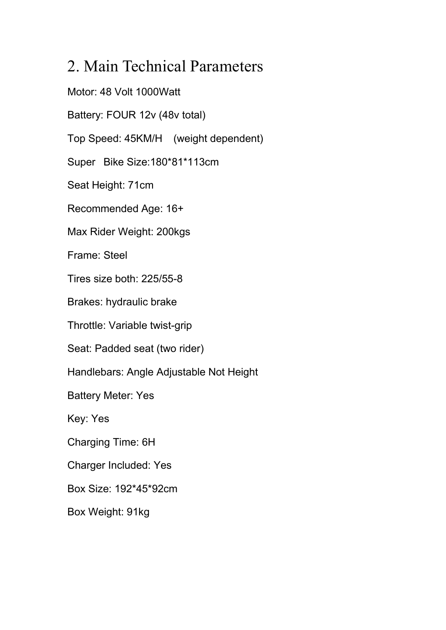## 2. Main Technical Parameters

Motor: 48 Volt 1000Watt Battery: FOUR 12v (48v total) Top Speed: 45KM/H (weight dependent) Super Bike Size:180\*81\*113cm Seat Height: 71cm Recommended Age: 16+ Max Rider Weight: 200kgs Frame: Steel Tires size both: 225/55-8 Brakes: hydraulic brake Throttle: Variable twist-grip Seat: Padded seat (two rider) Handlebars: Angle Adjustable Not Height Battery Meter: Yes Key: Yes Charging Time: 6H Charger Included: Yes Box Size: 192\*45\*92cm Box Weight: 91kg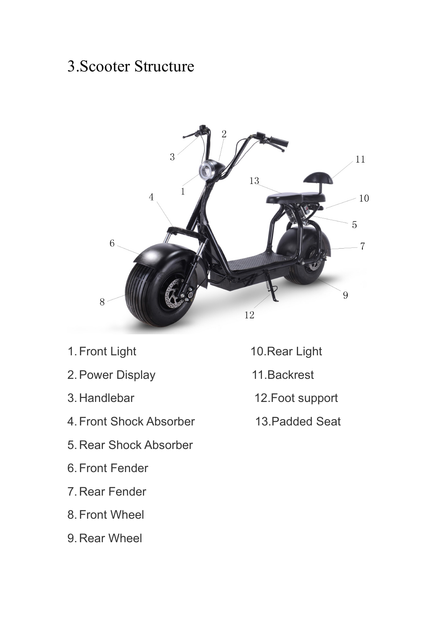## 3.Scooter Structure



- 1. Front Light 10. Rear Light
- 2.Power Display 11.Backrest
- 
- 4.Front Shock Absorber 13.Padded Seat
- 5.Rear Shock Absorber
- 6.Front Fender
- 7.Rear Fender
- 8.Front Wheel
- 9.Rear Wheel
- 
- 
- 3.Handlebar 12.Foot support
	-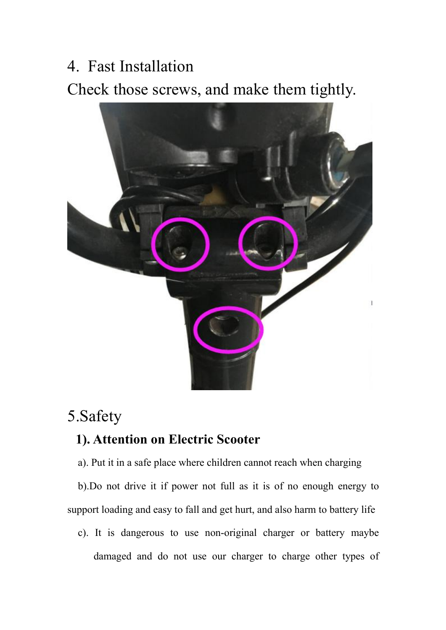4. Fast Installation

Check those screws, and make them tightly.



# 5.Safety

### **1). Attention on Electric Scooter**

a). Put it in a safe place where children cannot reach when charging

b).Do not drive it if power not full as it is of no enough energy to support loading and easy to fall and get hurt, and also harm to battery life

c). It is dangerous to use non-original charger or battery maybe damaged and do not use our charger to charge other types of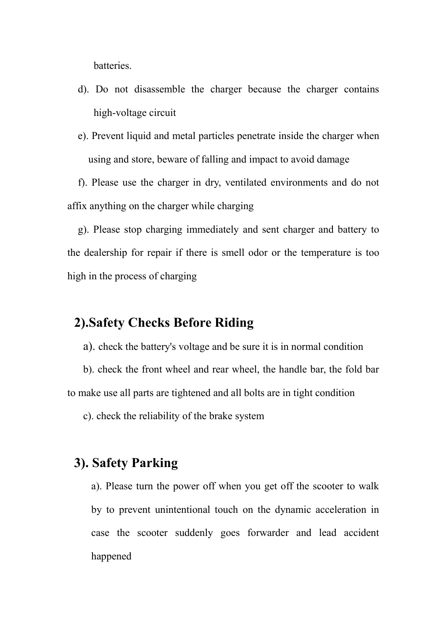batteries.

- d). Do not disassemble the charger because the charger contains high-voltage circuit
- e). Prevent liquid and metal particles penetrate inside the charger when using and store, beware of falling and impact to avoid damage

f). Please use the charger in dry, ventilated environments and do not affix anything on the charger while charging

g). Please stop charging immediately and sent charger and battery to the dealership for repair if there is smell odor or the temperature is too high in the process of charging

#### **2).Safety Checks Before Riding**

a). check the battery's voltage and be sure it is in normal condition

b). check the front wheel and rear wheel, the handle bar, the fold bar to make use all parts are tightened and all bolts are in tight condition

c). check the reliability of the brake system

### **3). Safety Parking**

a). Please turn the power off when you get off the scooter to walk by to prevent unintentional touch on the dynamic acceleration in case the scooter suddenly goes forwarder and lead accident happened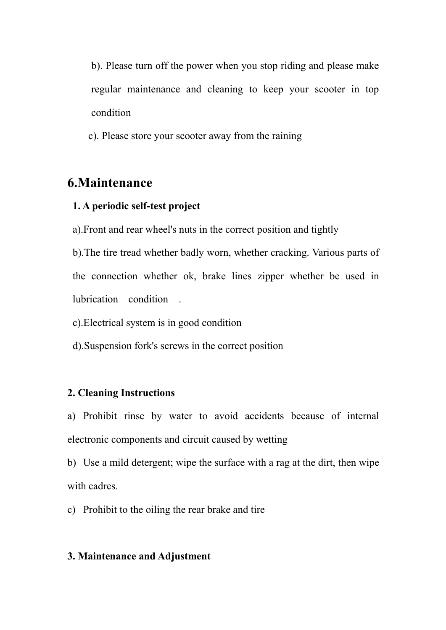b). Please turn off the power when you stop riding and please make regular maintenance and cleaning to keep your scooter in top condition

c). Please store your scooter away from the raining

### **6.Maintenance**

#### **1. A periodic self-test project**

a).Front and rear wheel's nuts in the correct position and tightly

b).The tire tread whether badly worn, whether cracking. Various parts of the connection whether ok, brake lines zipper whether be used in lubrication condition .

c).Electrical system is in good condition

d).Suspension fork's screws in the correct position

#### **2. Cleaning Instructions**

a) Prohibit rinse by water to avoid accidents because of internal electronic components and circuit caused by wetting

b) Use a mild detergent; wipe the surface with a rag at the dirt, then wipe with cadres.

c) Prohibit to the oiling the rear brake and tire

#### **3. Maintenance and Adjustment**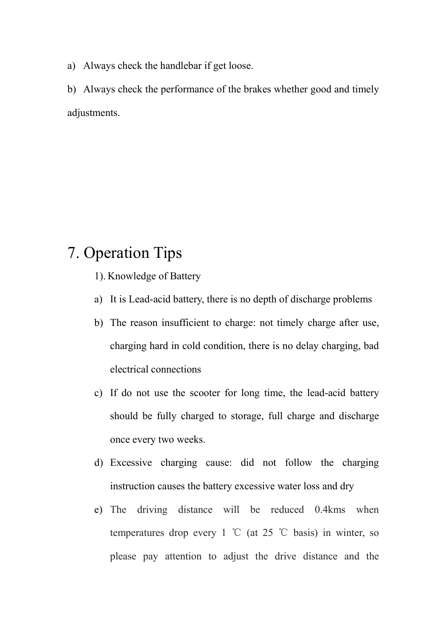a) Always check the handlebar if get loose.

b) Always check the performance of the brakes whether good and timely adjustments.

### 7. Operation Tips

- 1). Knowledge of Battery
- a) It is Lead-acid battery, there is no depth of discharge problems
- b) The reason insufficient to charge: not timely charge after use, charging hard in cold condition, there is no delay charging, bad electrical connections
- c) If do not use the scooter for long time, the lead-acid battery should be fully charged to storage, full charge and discharge once every two weeks.<br>d) Excessive charging cause: did not follow the charging
- instruction causes the battery excessive water loss and dry
- e) The driving distance will be reduced 0.4kms when temperatures drop every 1 ℃ (at 25 ℃ basis) in winter, so please pay attention to adjust the drive distance and the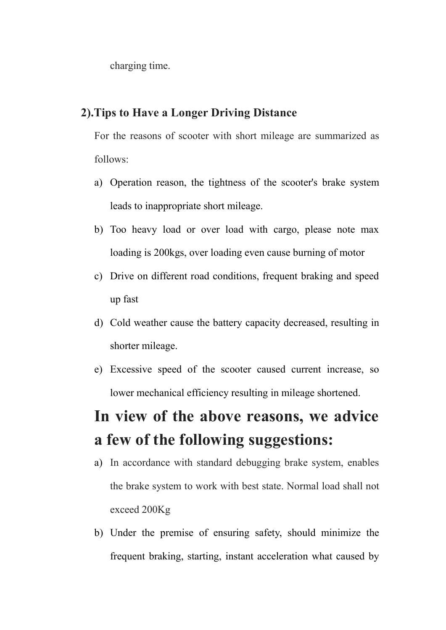charging time.

#### **2).Tips to Have a Longer Driving Distance**

For the reasons of scooter with short mileage are summarized as follows:

- a) Operation reason, the tightness of the scooter's brake system leads to inappropriate short mileage.
- b) Too heavy load or over load with cargo, please note max loading is 200kgs, over loading even cause burning of motor
- c) Drive on different road conditions, frequent braking and speed up fast
- d) Cold weather cause the battery capacity decreased, resulting in shorter mileage.
- e) Excessive speed of the scooter caused current increase, so lower mechanical efficiency resulting in mileage shortened.

# **In view of the above reasons, we advice a few of the following suggestions:**

- a) In accordance with standard debugging brake system, enables the brake system to work with best state. Normal load shall not exceed 200Kg
- b) Under the premise of ensuring safety, should minimize the frequent braking, starting, instant acceleration what caused by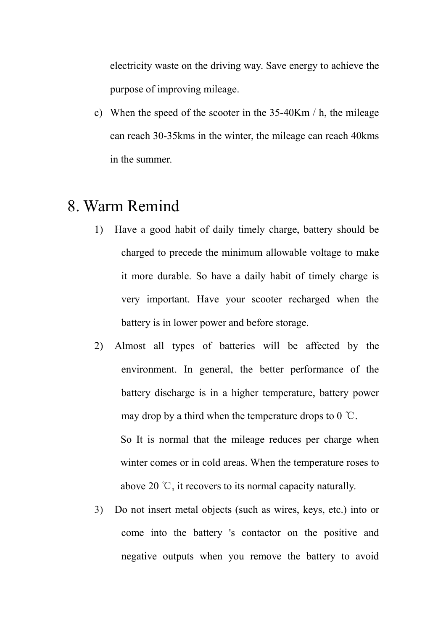electricity waste on the driving way. Save energy to achieve the purpose of improving mileage.

c) When the speed of the scooter in the 35-40Km / h, the mileage can reach 30-35kms in the winter, the mileage can reach 40kms in the summer.

### 8. Warm Remind

- 1) Have a good habit of daily timely charge, battery should be charged to precede the minimum allowable voltage to make it more durable. So have a daily habit of timely charge is very important. Have your scooter recharged when the battery is in lower power and before storage.
- 2) Almost all types of batteries will be affected by the environment. In general, the better performance of the battery discharge is in a higher temperature, battery power may drop by a third when the temperature drops to 0 ℃. So It is normal that the mileage reduces per charge when winter comes or in cold areas. When the temperature roses to above 20  $\degree$ C, it recovers to its normal capacity naturally.
- 3) Do not insert metal objects (such as wires, keys, etc.) into or come into the battery 's contactor on the positive and negative outputs when you remove the battery to avoid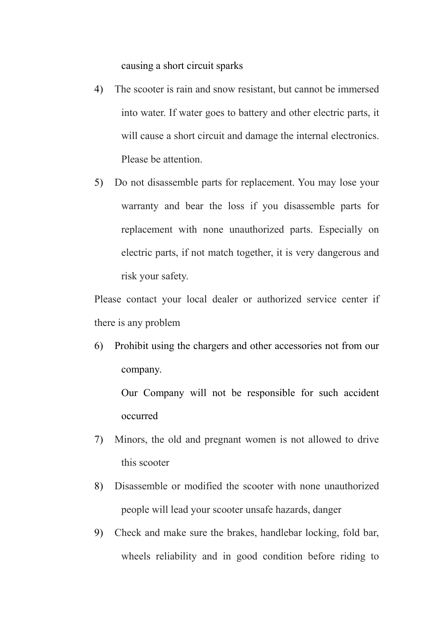causing a short circuit sparks

- 4) The scooter is rain and snow resistant, but cannot be immersed into water. If water goes to battery and other electric parts, it will cause a short circuit and damage the internal electronics. Please be attention.
- 5) Do not disassemble parts for replacement. You may lose your warranty and bear the loss if you disassemble parts for replacement with none unauthorized parts. Especially on electric parts, if not match together, it is very dangerous and risk your safety.

Please contact your local dealer or authorized service center if there is any problem

6) Prohibit using the chargers and other accessories not from our company.

Our Company will not be responsible for such accident occurred

- 7) Minors, the old and pregnant women is not allowed to drive this scooter
- 8) Disassemble or modified the scooter with none unauthorized people will lead your scooter unsafe hazards, danger
- 9) Check and make sure the brakes, handlebar locking, fold bar, wheels reliability and in good condition before riding to